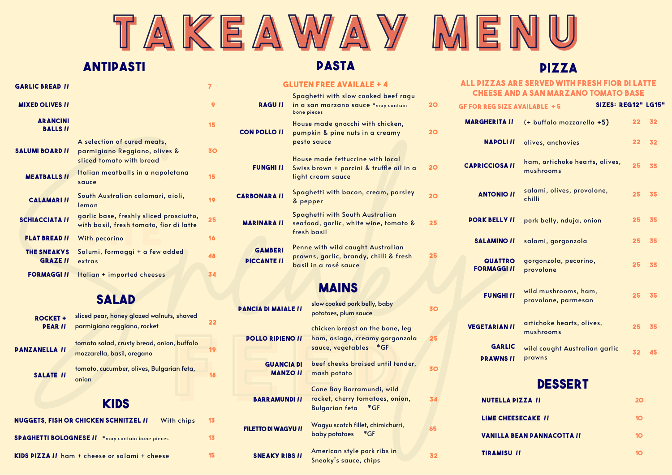# TAKEAWAY MI

### **ANTIPASTI**

## **PASTA**

#### **PIZZA**

#### **GARLIC BREAD** *II* **<b>7 MIXED O LIVES // 9 AR ANCINI BALLS // <sup>15</sup> SALUMI BOARD //** A selection of cured meats, parmigiano Reggiano, olives & sliced tomato with bread **30 meatballs //** Italian meatballs in a napoletana sauce **15 CALAMARI II** South Australian calamari, aioli, lemon **19 SCHIACCIATA //** garlic base, freshly sliced prosciutto, garlic base, treshly sliced prosciutto,<br>with basil, fresh tomato, fior di latte **F LAT BREAD //** With pecorino **16 THE S NEAKYS**  Salumi, formaggi + a few added **GRAZE //** extras **48 FORMAGGI //** Italian + imported cheeses **34**

## **salad**

| <b>ROCKET+</b><br><b>PEARII</b> | sliced pear, honey glazed walnuts, shaved<br>parmigiano reggiano, rocket | 22 |
|---------------------------------|--------------------------------------------------------------------------|----|
| <b><i>PANZANELLA II</i></b>     | tomato salad, crusty bread, onion, buffalo<br>mozzarella, basil, oregano |    |
| <b>SALATE II</b>                | tomato, cucumber, olives, Bulgarian feta,<br>onion                       |    |
|                                 | <b>KIDS</b>                                                              |    |
|                                 | <b>NUGGETS, FISH OR CHICKEN SCHNITZEL II</b><br>With chips               | 13 |
| <b>SPAGHETTI BOLOGNESE II</b>   | *may contain bone pieces                                                 | 13 |

**Kids pizza //** ham + cheese or salami + cheese **15**

#### **GLUTEN FREE AVAILALE + 4**

| <b>RAGUII</b>                        | Spaghetti with slow cooked beef ragu<br>in a san marzano sauce *may contain<br>bone pieces           | 20 |
|--------------------------------------|------------------------------------------------------------------------------------------------------|----|
| <b>CON POLLO II</b>                  | House made gnocchi with chicken,<br>pumpkin & pine nuts in a creamy<br>pesto sauce                   | 20 |
| <b>FUNGHI II</b>                     | House made fettuccine with local<br>Swiss brown + porcini & truffle oil in a<br>light cream sauce    | 20 |
| <b>CARBONARA II</b>                  | Spaghetti with bacon, cream, parsley<br>& pepper                                                     | 20 |
| <b>MARINARA II</b>                   | Spaghetti with South Australian<br>seafood, garlic, white wine, tomato &<br>fresh basil              | 25 |
| <b>GAMBERI</b><br><b>DICCANTE II</b> | Penne with wild caught Australian<br>prawns, garlic, brandy, chilli & fresh<br>basil in a rosé sauce | 25 |

## **mains**

| <b>PANCIA DI MAIALE II</b>           | slow cooked pork belly, baby<br>potatoes, plum sauce                                           | 30 |
|--------------------------------------|------------------------------------------------------------------------------------------------|----|
|                                      | chicken breast on the bone, leg                                                                |    |
| <b>POLLO RIPIENO II</b>              | ham, asiago, creamy gorgonzola<br>sauce, vegetables<br>*GF                                     | 25 |
| <b>GUANCIA DI</b><br><b>MANZO II</b> | beef cheeks braised until tender,<br>mash potato                                               | 30 |
| <b>BARRAMUNDI II</b>                 | Cone Bay Barramundi, wild<br>rocket, cherry tomatoes, onion,<br>$*GF$<br><b>Bulgarian feta</b> | 34 |
| <b>FILETTO DI WAGYU II</b>           | Wagyu scotch fillet, chimichurri,<br>*GF<br>baby potatoes                                      | 65 |
| <b>SNEAKY RIBS II</b>                | American style pork ribs in<br>Sneaky's sauce, chips                                           | 32 |

#### **ALL PIZZAS ARE SERVED WITH FRESH FIOR DI LATTE CHEESE AND A SAN MARZANO TOMATO BASE**

| <b>GF FOR REG SIZE AVAILABLE +5</b>  | SIZES: REG12" LG15"                         |    |    |
|--------------------------------------|---------------------------------------------|----|----|
| <b>MARGHERITA II</b>                 | (+ buffalo mozzarella +5)                   | 22 | 32 |
| <b>NAPOLI II</b>                     | olives, anchovies                           | 22 | 32 |
| <b>CAPRICCIOSA II</b>                | ham, artichoke hearts, olives,<br>mushrooms | 25 | 35 |
| <b>ANTONIO II</b>                    | salami, olives, provolone,<br>chilli        | 25 | 35 |
| <b>PORK BELLY II</b>                 | pork belly, nduja, onion                    | 25 | 35 |
| <b>SALAMINO II</b>                   | salami, gorgonzola                          | 25 | 35 |
| <b>QUATTRO</b><br><b>FORMAGGI II</b> | gorgonzola, pecorino,<br>provolone          | 25 | 35 |
| <b>FUNGHI II</b>                     | wild mushrooms, ham,<br>provolone, parmesan | 25 | 35 |
| <b>VEGETARIAN II</b>                 | artichoke hearts, olives,<br>mushrooms      | 25 | 35 |
| <b>GARLIC</b><br><b>DRAWNS II</b>    | wild caught Australian garlic<br>prawns     | 32 | 45 |
|                                      | DESSERT                                     |    |    |

| <b>NUTELLA PIZZA II</b>           | IO |
|-----------------------------------|----|
| <b>LIME CHEESECAKE II</b>         |    |
| <b>VANILLA BEAN DANNACOTTA II</b> |    |
| <b>TIRAMISU II</b>                |    |